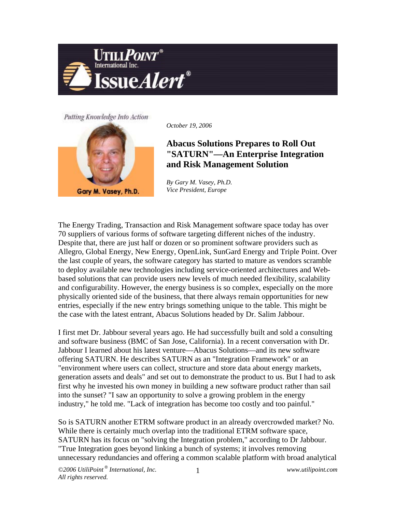

## Putting Knowledge Into Action



*October 19, 2006*

## **Abacus Solutions Prepares to Roll Out "SATURN"—An Enterprise Integration and Risk Management Solution**

*By Gary M. Vasey, Ph.D. Vice President, Europe*

The Energy Trading, Transaction and Risk Management software space today has over 70 suppliers of various forms of software targeting different niches of the industry. Despite that, there are just half or dozen or so prominent software providers such as Allegro, Global Energy, New Energy, OpenLink, SunGard Energy and Triple Point. Over the last couple of years, the software category has started to mature as vendors scramble to deploy available new technologies including service-oriented architectures and Webbased solutions that can provide users new levels of much needed flexibility, scalability and configurability. However, the energy business is so complex, especially on the more physically oriented side of the business, that there always remain opportunities for new entries, especially if the new entry brings something unique to the table. This might be the case with the latest entrant, Abacus Solutions headed by Dr. Salim Jabbour.

I first met Dr. Jabbour several years ago. He had successfully built and sold a consulting and software business (BMC of San Jose, California). In a recent conversation with Dr. Jabbour I learned about his latest venture—Abacus Solutions—and its new software offering SATURN. He describes SATURN as an "Integration Framework" or an "environment where users can collect, structure and store data about energy markets, generation assets and deals" and set out to demonstrate the product to us. But I had to ask first why he invested his own money in building a new software product rather than sail into the sunset? "I saw an opportunity to solve a growing problem in the energy industry," he told me. "Lack of integration has become too costly and too painful."

So is SATURN another ETRM software product in an already overcrowded market? No. While there is certainly much overlap into the traditional ETRM software space, SATURN has its focus on "solving the Integration problem," according to Dr Jabbour. "True Integration goes beyond linking a bunch of systems; it involves removing unnecessary redundancies and offering a common scalable platform with broad analytical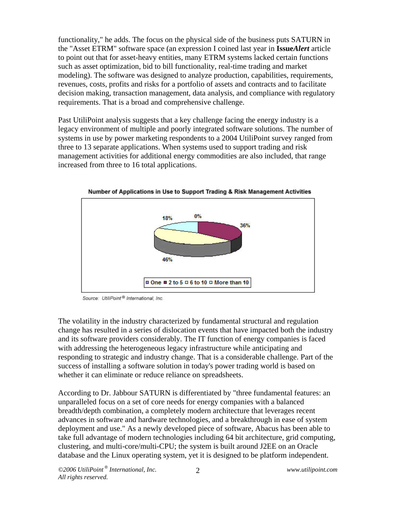functionality," he adds. The focus on the physical side of the business puts SATURN in the "Asset ETRM" software space (an expression I coined last year in **Issue***Alert* article to point out that for asset-heavy entities, many ETRM systems lacked certain functions such as asset optimization, bid to bill functionality, real-time trading and market modeling). The software was designed to analyze production, capabilities, requirements, revenues, costs, profits and risks for a portfolio of assets and contracts and to facilitate decision making, transaction management, data analysis, and compliance with regulatory requirements. That is a broad and comprehensive challenge.

Past UtiliPoint analysis suggests that a key challenge facing the energy industry is a legacy environment of multiple and poorly integrated software solutions. The number of systems in use by power marketing respondents to a 2004 UtiliPoint survey ranged from three to 13 separate applications. When systems used to support trading and risk management activities for additional energy commodities are also included, that range increased from three to 16 total applications.



Number of Applications in Use to Support Trading & Risk Management Activities

The volatility in the industry characterized by fundamental structural and regulation change has resulted in a series of dislocation events that have impacted both the industry and its software providers considerably. The IT function of energy companies is faced with addressing the heterogeneous legacy infrastructure while anticipating and responding to strategic and industry change. That is a considerable challenge. Part of the success of installing a software solution in today's power trading world is based on whether it can eliminate or reduce reliance on spreadsheets.

According to Dr. Jabbour SATURN is differentiated by "three fundamental features: an unparalleled focus on a set of core needs for energy companies with a balanced breadth/depth combination, a completely modern architecture that leverages recent advances in software and hardware technologies, and a breakthrough in ease of system deployment and use." As a newly developed piece of software, Abacus has been able to take full advantage of modern technologies including 64 bit architecture, grid computing, clustering, and multi-core/multi-CPU; the system is built around J2EE on an Oracle database and the Linux operating system, yet it is designed to be platform independent.

Source: UtiliPoint<sup>®</sup> International, Inc.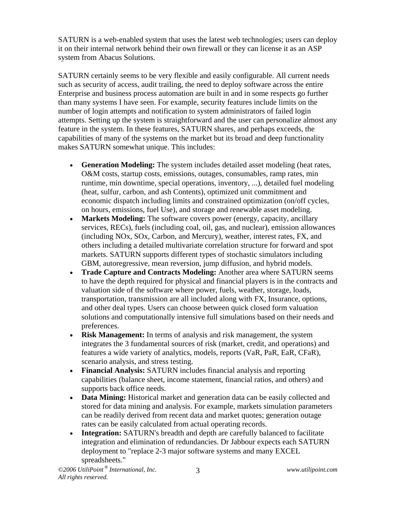SATURN is a web-enabled system that uses the latest web technologies; users can deploy it on their internal network behind their own firewall or they can license it as an ASP system from Abacus Solutions.

SATURN certainly seems to be very flexible and easily configurable. All current needs such as security of access, audit trailing, the need to deploy software across the entire Enterprise and business process automation are built in and in some respects go further than many systems I have seen. For example, security features include limits on the number of login attempts and notification to system administrators of failed login attempts. Setting up the system is straightforward and the user can personalize almost any feature in the system. In these features, SATURN shares, and perhaps exceeds, the capabilities of many of the systems on the market but its broad and deep functionality makes SATURN somewhat unique. This includes:

- **Generation Modeling:** The system includes detailed asset modeling (heat rates, O&M costs, startup costs, emissions, outages, consumables, ramp rates, min runtime, min downtime, special operations, inventory, ...), detailed fuel modeling (heat, sulfur, carbon, and ash Contents), optimized unit commitment and economic dispatch including limits and constrained optimization (on/off cycles, on hours, emissions, fuel Use), and storage and renewable asset modeling.
- **Markets Modeling:** The software covers power (energy, capacity, ancillary services, RECs), fuels (including coal, oil, gas, and nuclear), emission allowances (including NOx, SOx, Carbon, and Mercury), weather, interest rates, FX, and others including a detailed multivariate correlation structure for forward and spot markets. SATURN supports different types of stochastic simulators including GBM, autoregressive, mean reversion, jump diffusion, and hybrid models.
- **Trade Capture and Contracts Modeling:** Another area where SATURN seems to have the depth required for physical and financial players is in the contracts and valuation side of the software where power, fuels, weather, storage, loads, transportation, transmission are all included along with FX, Insurance, options, and other deal types. Users can choose between quick closed form valuation solutions and computationally intensive full simulations based on their needs and preferences.
- **Risk Management:** In terms of analysis and risk management, the system integrates the 3 fundamental sources of risk (market, credit, and operations) and features a wide variety of analytics, models, reports (VaR, PaR, EaR, CFaR), scenario analysis, and stress testing.
- **Financial Analysis:** SATURN includes financial analysis and reporting capabilities (balance sheet, income statement, financial ratios, and others) and supports back office needs.
- **Data Mining:** Historical market and generation data can be easily collected and stored for data mining and analysis. For example, markets simulation parameters can be readily derived from recent data and market quotes; generation outage rates can be easily calculated from actual operating records.
- **Integration:** SATURN's breadth and depth are carefully balanced to facilitate integration and elimination of redundancies. Dr Jabbour expects each SATURN deployment to "replace 2-3 major software systems and many EXCEL spreadsheets."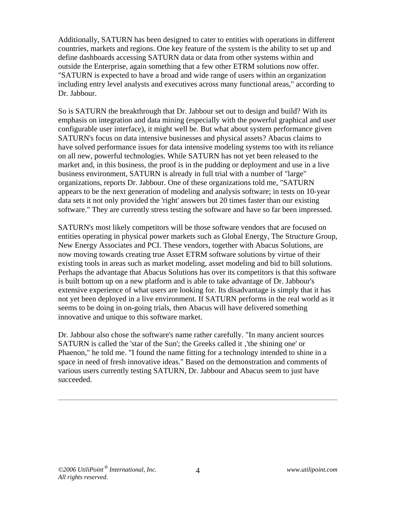Additionally, SATURN has been designed to cater to entities with operations in different countries, markets and regions. One key feature of the system is the ability to set up and define dashboards accessing SATURN data or data from other systems within and outside the Enterprise, again something that a few other ETRM solutions now offer. "SATURN is expected to have a broad and wide range of users within an organization including entry level analysts and executives across many functional areas," according to Dr. Jabbour.

So is SATURN the breakthrough that Dr. Jabbour set out to design and build? With its emphasis on integration and data mining (especially with the powerful graphical and user configurable user interface), it might well be. But what about system performance given SATURN's focus on data intensive businesses and physical assets? Abacus claims to have solved performance issues for data intensive modeling systems too with its reliance on all new, powerful technologies. While SATURN has not yet been released to the market and, in this business, the proof is in the pudding or deployment and use in a live business environment, SATURN is already in full trial with a number of "large" organizations, reports Dr. Jabbour. One of these organizations told me, "SATURN appears to be the next generation of modeling and analysis software; in tests on 10-year data sets it not only provided the 'right' answers but 20 times faster than our existing software." They are currently stress testing the software and have so far been impressed.

SATURN's most likely competitors will be those software vendors that are focused on entities operating in physical power markets such as Global Energy, The Structure Group, New Energy Associates and PCI. These vendors, together with Abacus Solutions, are now moving towards creating true Asset ETRM software solutions by virtue of their existing tools in areas such as market modeling, asset modeling and bid to bill solutions. Perhaps the advantage that Abacus Solutions has over its competitors is that this software is built bottom up on a new platform and is able to take advantage of Dr. Jabbour's extensive experience of what users are looking for. Its disadvantage is simply that it has not yet been deployed in a live environment. If SATURN performs in the real world as it seems to be doing in on-going trials, then Abacus will have delivered something innovative and unique to this software market.

Dr. Jabbour also chose the software's name rather carefully. "In many ancient sources SATURN is called the 'star of the Sun'; the Greeks called it, 'the shining one' or Phaenon," he told me. "I found the name fitting for a technology intended to shine in a space in need of fresh innovative ideas." Based on the demonstration and comments of various users currently testing SATURN, Dr. Jabbour and Abacus seem to just have succeeded.